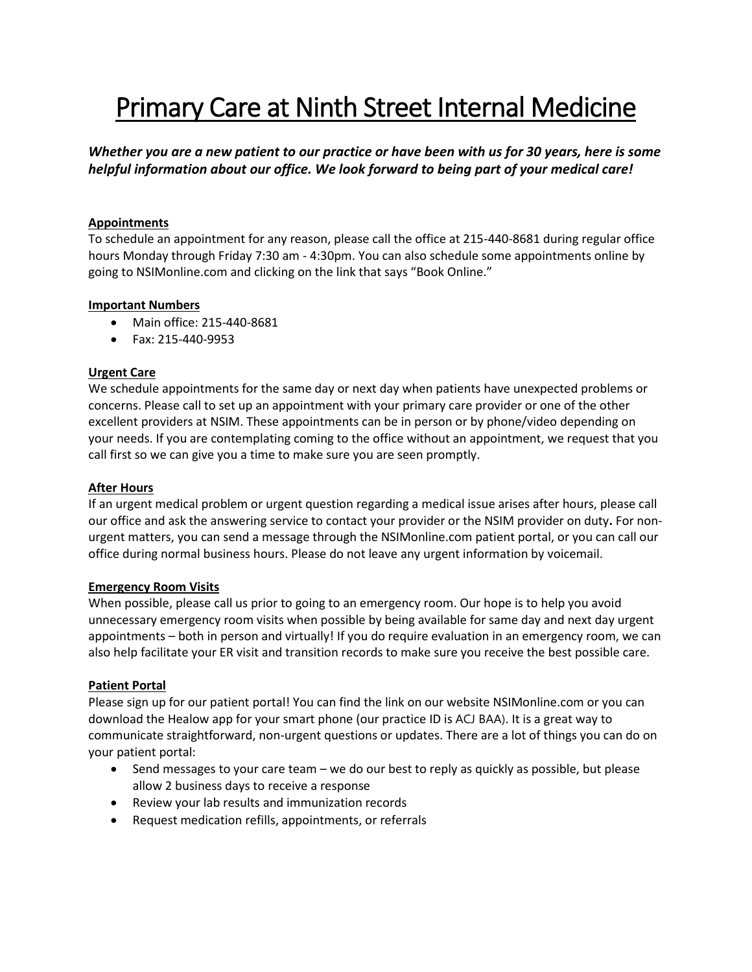# Primary Care at Ninth Street Internal Medicine

*Whether you are a new patient to our practice or have been with us for 30 years, here is some helpful information about our office. We look forward to being part of your medical care!*

# **Appointments**

To schedule an appointment for any reason, please call the office at 215-440-8681 during regular office hours Monday through Friday 7:30 am - 4:30pm. You can also schedule some appointments online by going to NSIMonline.com and clicking on the link that says "Book Online."

## **Important Numbers**

- Main office: 215-440-8681
- Fax: 215-440-9953

# **Urgent Care**

We schedule appointments for the same day or next day when patients have unexpected problems or concerns. Please call to set up an appointment with your primary care provider or one of the other excellent providers at NSIM. These appointments can be in person or by phone/video depending on your needs. If you are contemplating coming to the office without an appointment, we request that you call first so we can give you a time to make sure you are seen promptly.

## **After Hours**

If an urgent medical problem or urgent question regarding a medical issue arises after hours, please call our office and ask the answering service to contact your provider or the NSIM provider on duty**.** For nonurgent matters, you can send a message through the NSIMonline.com patient portal, or you can call our office during normal business hours. Please do not leave any urgent information by voicemail.

## **Emergency Room Visits**

When possible, please call us prior to going to an emergency room. Our hope is to help you avoid unnecessary emergency room visits when possible by being available for same day and next day urgent appointments – both in person and virtually! If you do require evaluation in an emergency room, we can also help facilitate your ER visit and transition records to make sure you receive the best possible care.

## **Patient Portal**

Please sign up for our patient portal! You can find the link on our website NSIMonline.com or you can download the Healow app for your smart phone (our practice ID is ACJ BAA). It is a great way to communicate straightforward, non-urgent questions or updates. There are a lot of things you can do on your patient portal:

- Send messages to your care team we do our best to reply as quickly as possible, but please allow 2 business days to receive a response
- Review your lab results and immunization records
- Request medication refills, appointments, or referrals